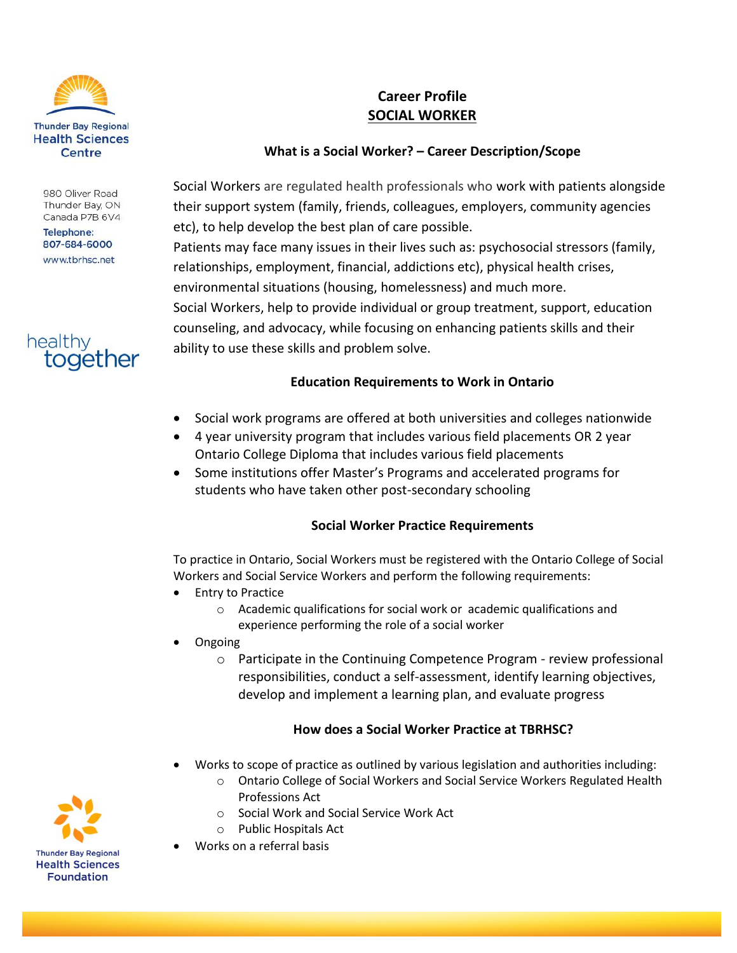

#### 980 Oliver Road Thunder Bay, ON Canada P7B 6V4

**Telephone:** 807-684-6000 www.tbrhsc.net



# **Career Profile SOCIAL WORKER**

# **What is a Social Worker? – Career Description/Scope**

Social Workers are regulated health professionals who work with patients alongside their support system (family, friends, colleagues, employers, community agencies etc), to help develop the best plan of care possible. Patients may face many issues in their lives such as: psychosocial stressors (family, relationships, employment, financial, addictions etc), physical health crises, environmental situations (housing, homelessness) and much more. Social Workers, help to provide individual or group treatment, support, education counseling, and advocacy, while focusing on enhancing patients skills and their ability to use these skills and problem solve.

### **Education Requirements to Work in Ontario**

- Social work programs are offered at both universities and colleges nationwide
- 4 year university program that includes various field placements OR 2 year Ontario College Diploma that includes various field placements
- Some institutions offer Master's Programs and accelerated programs for students who have taken other post-secondary schooling

## **Social Worker Practice Requirements**

To practice in Ontario, Social Workers must be registered with the Ontario College of Social Workers and Social Service Workers and perform the following requirements:

- Entry to Practice
	- o Academic qualifications for social work or academic qualifications and experience performing the role of a social worker
- Ongoing
	- o Participate in the Continuing Competence Program review professional responsibilities, conduct a self-assessment, identify learning objectives, develop and implement a learning plan, and evaluate progress

#### **How does a Social Worker Practice at TBRHSC?**

- Works to scope of practice as outlined by various legislation and authorities including:
	- o Ontario College of Social Workers and Social Service Workers Regulated Health Professions Act
	- o Social Work and Social Service Work Act
	- o Public Hospitals Act
- Works on a referral basis